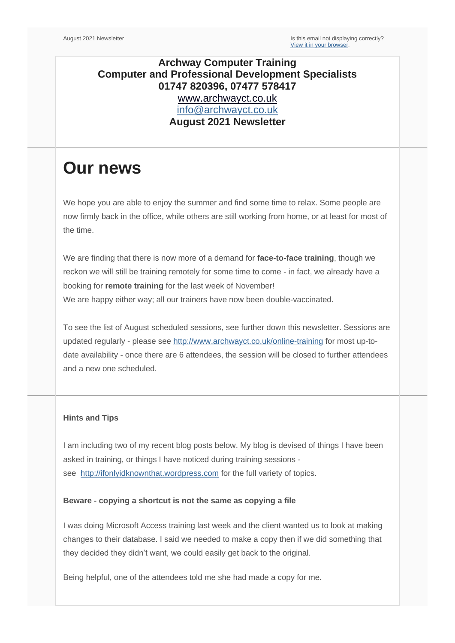## **Archway Computer Training Computer and Professional Development Specialists 01747 820396, 07477 578417** [www.archwayct.co.uk](http://www.archwayct.co.uk/) [info@archwayct.co.uk](mailto:%20info@archwayct.co.uk) **August 2021 Newsletter**

# **Our news**

We hope you are able to enjoy the summer and find some time to relax. Some people are now firmly back in the office, while others are still working from home, or at least for most of the time.

We are finding that there is now more of a demand for **face-to-face training**, though we reckon we will still be training remotely for some time to come - in fact, we already have a booking for **remote training** for the last week of November! We are happy either way; all our trainers have now been double-vaccinated.

To see the list of August scheduled sessions, see further down this newsletter. Sessions are updated regularly - please see<http://www.archwayct.co.uk/online-training> for most up-todate availability - once there are 6 attendees, the session will be closed to further attendees and a new one scheduled.

### **Hints and Tips**

I am including two of my recent blog posts below. My blog is devised of things I have been asked in training, or things I have noticed during training sessions see [http://ifonlyidknownthat.wordpress.com](http://ifonlyidknownthat.wordpress.com/) for the full variety of topics.

#### **Beware - copying a shortcut is not the same as copying a file**

I was doing Microsoft Access training last week and the client wanted us to look at making changes to their database. I said we needed to make a copy then if we did something that they decided they didn't want, we could easily get back to the original.

Being helpful, one of the attendees told me she had made a copy for me.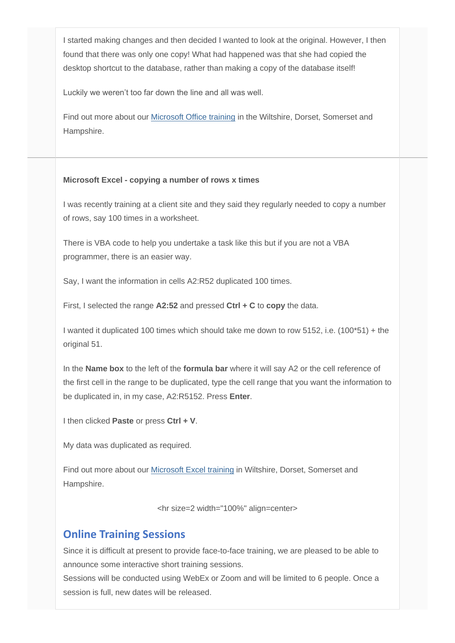I started making changes and then decided I wanted to look at the original. However, I then found that there was only one copy! What had happened was that she had copied the desktop shortcut to the database, rather than making a copy of the database itself!

Luckily we weren't too far down the line and all was well.

Find out more about our [Microsoft Office training](http://www.archwayct.co.uk/microsoft-office-training) in the Wiltshire, Dorset, Somerset and Hampshire.

#### **Microsoft Excel - copying a number of rows x times**

I was recently training at a client site and they said they regularly needed to copy a number of rows, say 100 times in a worksheet.

There is VBA code to help you undertake a task like this but if you are not a VBA programmer, there is an easier way.

Say, I want the information in cells A2:R52 duplicated 100 times.

First, I selected the range **A2:52** and pressed **Ctrl + C** to **copy** the data.

I wanted it duplicated 100 times which should take me down to row 5152, i.e. (100\*51) + the original 51.

In the **Name box** to the left of the **formula bar** where it will say A2 or the cell reference of the first cell in the range to be duplicated, type the cell range that you want the information to be duplicated in, in my case, A2:R5152. Press **Enter**.

I then clicked **Paste** or press **Ctrl + V**.

My data was duplicated as required.

Find out more about our [Microsoft Excel training](http://www.archwayct.co.uk/microsoft-office-training/microsoft-excel-training) in Wiltshire, Dorset, Somerset and Hampshire.

<hr size=2 width="100%" align=center>

## **Online Training Sessions**

Since it is difficult at present to provide face-to-face training, we are pleased to be able to announce some interactive short training sessions.

Sessions will be conducted using WebEx or Zoom and will be limited to 6 people. Once a session is full, new dates will be released.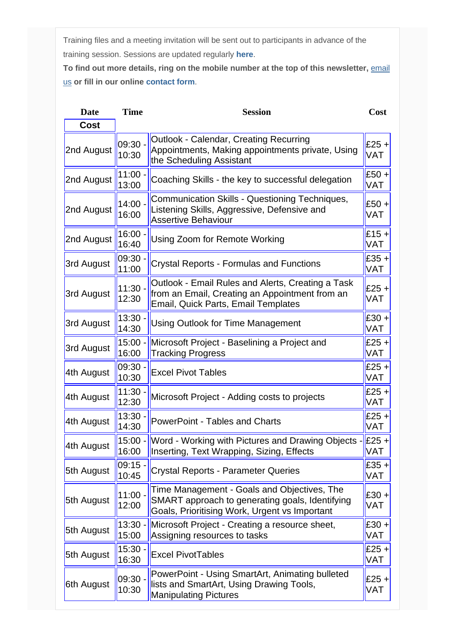Training files and a meeting invitation will be sent out to participants in advance of the training session. Sessions are updated regularly **[here](http://www.archwayct.co.uk/online-training)**.

To find out more details, ring on the mobile number at the top of this newsletter, **email** [us](mailto:janet@archwayct.co.uk?subject=Online%20training) **or fill in our online [contact form](http://www.archwayct.co.uk/contact)**.

| <b>Date</b> | <b>Time</b>        | <b>Session</b>                                                                                                                                  | Cost                  |
|-------------|--------------------|-------------------------------------------------------------------------------------------------------------------------------------------------|-----------------------|
| <b>Cost</b> |                    |                                                                                                                                                 |                       |
| 2nd August  | $09:30 -$<br>10:30 | Outlook - Calendar, Creating Recurring<br>Appointments, Making appointments private, Using<br>the Scheduling Assistant                          | $E25 +$<br><b>VAT</b> |
| 2nd August  | 11:00 -<br>13:00   | Coaching Skills - the key to successful delegation                                                                                              | £50 +<br><b>VAT</b>   |
| 2nd August  | $14:00 -$<br>16:00 | Communication Skills - Questioning Techniques,<br>Listening Skills, Aggressive, Defensive and<br><b>Assertive Behaviour</b>                     | $£50 +$<br>VAT        |
| 2nd August  | 16:00.<br>16:40    | Using Zoom for Remote Working                                                                                                                   | $£15 +$<br>VAT        |
| 3rd August  | 09:30<br>11:00     | <b>Crystal Reports - Formulas and Functions</b>                                                                                                 | $E35 +$<br><b>VAT</b> |
| 3rd August  | 11:30 -<br>12:30   | Outlook - Email Rules and Alerts, Creating a Task<br>from an Email, Creating an Appointment from an<br>Email, Quick Parts, Email Templates      | $£25 +$<br>VAT        |
| 3rd August  | 13:30.<br>14:30    | <b>Using Outlook for Time Management</b>                                                                                                        | $£30 +$<br>VAT        |
| 3rd August  | $15:00 -$<br>16:00 | Microsoft Project - Baselining a Project and<br><b>Tracking Progress</b>                                                                        | $£25 +$<br>VAT        |
| 4th August  | 09:30<br>10:30     | <b>Excel Pivot Tables</b>                                                                                                                       | $£25 +$<br>VAT        |
| 4th August  | 11:30<br>12:30     | Microsoft Project - Adding costs to projects                                                                                                    | $£25 +$<br>VAT        |
| 4th August  | 13:30<br>14:30     | <b>PowerPoint - Tables and Charts</b>                                                                                                           | $£25 +$<br><b>VAT</b> |
| 4th August  | $15:00 -$<br>16:00 | Word - Working with Pictures and Drawing Objects -<br>Inserting, Text Wrapping, Sizing, Effects                                                 | $E25 +$<br><b>VAT</b> |
| 5th August  | 09:15<br>10:45     | <b>Crystal Reports - Parameter Queries</b>                                                                                                      | $E35 +$<br><b>VAT</b> |
| 5th August  | $11:00 -$<br>12:00 | Time Management - Goals and Objectives, The<br>SMART approach to generating goals, Identifying<br>Goals, Prioritising Work, Urgent vs Important | $E30 +$<br>VAT        |
| 5th August  | $13:30 -$<br>15:00 | Microsoft Project - Creating a resource sheet,<br>Assigning resources to tasks                                                                  | $E30 +$<br>VAT        |
| 5th August  | 15:30.<br>16:30    | <b>Excel PivotTables</b>                                                                                                                        | $£25 +$<br>VAT        |
| 6th August  | 09:30.<br>10:30    | PowerPoint - Using SmartArt, Animating bulleted<br>lists and SmartArt, Using Drawing Tools,<br><b>Manipulating Pictures</b>                     | $E25 +$<br>VAT        |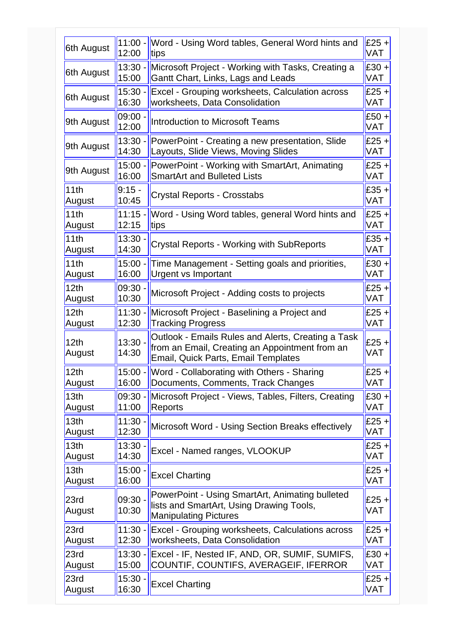| 6th August                 | $11:00 -$          | Word - Using Word tables, General Word hints and                                                                                            | $£25 +$        |
|----------------------------|--------------------|---------------------------------------------------------------------------------------------------------------------------------------------|----------------|
|                            | 12:00              | tips                                                                                                                                        | VAT            |
| 6th August                 | $13:30 -$          | Microsoft Project - Working with Tasks, Creating a                                                                                          | $E30 +$        |
|                            | 15:00              | Gantt Chart, Links, Lags and Leads                                                                                                          | VAT            |
| 6th August                 | $15:30 -$          | Excel - Grouping worksheets, Calculation across                                                                                             | $£25 +$        |
|                            | 16:30              | worksheets, Data Consolidation                                                                                                              | VAT            |
| 9th August                 | 09:00<br>12:00     | <b>Introduction to Microsoft Teams</b>                                                                                                      | $£50 +$<br>VAT |
| 9th August                 | $13:30 -$          | PowerPoint - Creating a new presentation, Slide                                                                                             | $E25 +$        |
|                            | 14:30              | Layouts, Slide Views, Moving Slides                                                                                                         | VAT            |
| 9th August                 | $15:00 -$          | PowerPoint - Working with SmartArt, Animating                                                                                               | $£25 +$        |
|                            | 16:00              | <b>SmartArt and Bulleted Lists</b>                                                                                                          | VAT            |
| 11th                       | $9:15 -$           | Crystal Reports - Crosstabs                                                                                                                 | $£35 +$        |
| August                     | 10:45              |                                                                                                                                             | VAT            |
| 11th                       | $11:15 -$          | Word - Using Word tables, general Word hints and                                                                                            | $E25 +$        |
| August                     | 12:15              | tips                                                                                                                                        | VAT            |
| 11th                       | 13:30              | Crystal Reports - Working with SubReports                                                                                                   | $£35 +$        |
| August                     | 14:30              |                                                                                                                                             | VAT            |
| 11th                       | $15:00 -$          | Time Management - Setting goals and priorities,                                                                                             | $£30 +$        |
| August                     | 16:00              | <b>Urgent vs Important</b>                                                                                                                  | VAT            |
| 12 <sub>th</sub>           | 09:30              | Microsoft Project - Adding costs to projects                                                                                                | $£25 +$        |
| August                     | 10:30              |                                                                                                                                             | VAT            |
| 12th                       | $11:30 -$          | Microsoft Project - Baselining a Project and                                                                                                | $£25 +$        |
| August                     | 12:30              | <b>Tracking Progress</b>                                                                                                                    | <b>VAT</b>     |
| 12 <sub>th</sub><br>August | $13:30 -$<br>14:30 | Outlook - Emails Rules and Alerts, Creating a Task<br>from an Email, Creating an Appointment from an<br>Email, Quick Parts, Email Templates | $£25 +$<br>VAT |
| 12 <sub>th</sub>           | 16:00              | 15:00 - Word - Collaborating with Others - Sharing                                                                                          | $E25 +$        |
| August                     |                    | Documents, Comments, Track Changes                                                                                                          | <b>VAT</b>     |
| 13 <sub>th</sub>           | 09:30 -            | Microsoft Project - Views, Tables, Filters, Creating                                                                                        | $E30 +$        |
| August                     | 11:00              | Reports                                                                                                                                     | VAT            |
| 13th                       | $11:30 -$          | Microsoft Word - Using Section Breaks effectively                                                                                           | $E25 +$        |
| August                     | 12:30              |                                                                                                                                             | VAT            |
| 13th                       | $13:30 -$          | Excel - Named ranges, VLOOKUP                                                                                                               | $E25 +$        |
| August                     | 14:30              |                                                                                                                                             | VAT            |
| 13 <sub>th</sub>           | $15:00 -$          | <b>Excel Charting</b>                                                                                                                       | $E25 +$        |
| August                     | 16:00              |                                                                                                                                             | VAT            |
| 23rd<br>August             | $09:30 -$<br>10:30 | PowerPoint - Using SmartArt, Animating bulleted<br>lists and SmartArt, Using Drawing Tools,<br><b>Manipulating Pictures</b>                 | $£25 +$<br>VAT |
| 23rd                       | $11:30 -$          | Excel - Grouping worksheets, Calculations across                                                                                            | $£25 +$        |
| August                     | 12:30              | worksheets, Data Consolidation                                                                                                              | VAT            |
| 23rd                       | $13:30 -$          | Excel - IF, Nested IF, AND, OR, SUMIF, SUMIFS,                                                                                              | $E30 +$        |
| August                     | 15:00              | COUNTIF, COUNTIFS, AVERAGEIF, IFERROR                                                                                                       | VAT            |
| 23rd                       | $15:30 -$          | <b>Excel Charting</b>                                                                                                                       | $£25 +$        |
| August                     | 16:30              |                                                                                                                                             | VAT            |
|                            |                    |                                                                                                                                             |                |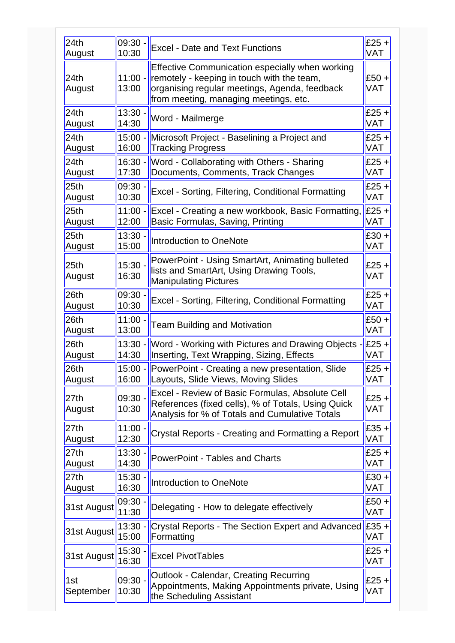| 24th                       | 09:30              | <b>Excel - Date and Text Functions</b>                                                                                                                                                  | $£25 +$               |
|----------------------------|--------------------|-----------------------------------------------------------------------------------------------------------------------------------------------------------------------------------------|-----------------------|
| August                     | 10:30              |                                                                                                                                                                                         | <b>VAT</b>            |
| 24th<br>August             | $11:00 -$<br>13:00 | Effective Communication especially when working<br>remotely - keeping in touch with the team,<br>organising regular meetings, Agenda, feedback<br>from meeting, managing meetings, etc. | $£50 +$<br><b>VAT</b> |
| 24th                       | $13:30 -$          | Word - Mailmerge                                                                                                                                                                        | $£25 +$               |
| August                     | 14:30              |                                                                                                                                                                                         | <b>VAT</b>            |
| 24th                       | $15:00 -$          | Microsoft Project - Baselining a Project and                                                                                                                                            | $£25 +$               |
| August                     | 16:00              | <b>Tracking Progress</b>                                                                                                                                                                | VAT                   |
| 24th                       | $16:30 -$          | Word - Collaborating with Others - Sharing                                                                                                                                              | $£25 +$               |
| August                     | 17:30              | Documents, Comments, Track Changes                                                                                                                                                      | <b>VAT</b>            |
| 25th                       | 09:30              | Excel - Sorting, Filtering, Conditional Formatting                                                                                                                                      | $£25 +$               |
| August                     | 10:30              |                                                                                                                                                                                         | VAT                   |
| 25 <sub>th</sub>           | $11:00 -$          | Excel - Creating a new workbook, Basic Formatting,                                                                                                                                      | $E25 +$               |
| August                     | 12:00              | Basic Formulas, Saving, Printing                                                                                                                                                        | VAT                   |
| 25 <sub>th</sub>           | 13:30.             | Introduction to OneNote                                                                                                                                                                 | $£30 +$               |
| August                     | 15:00              |                                                                                                                                                                                         | <b>VAT</b>            |
| 25 <sub>th</sub><br>August | $15:30 -$<br>16:30 | PowerPoint - Using SmartArt, Animating bulleted<br>lists and SmartArt, Using Drawing Tools,<br><b>Manipulating Pictures</b>                                                             | $£25 +$<br><b>VAT</b> |
| 26th                       | 09:30              | Excel - Sorting, Filtering, Conditional Formatting                                                                                                                                      | $£25 +$               |
| August                     | 10:30              |                                                                                                                                                                                         | <b>VAT</b>            |
| 26 <sub>th</sub>           | $11:00 -$          | <b>Team Building and Motivation</b>                                                                                                                                                     | $£50 +$               |
| August                     | 13:00              |                                                                                                                                                                                         | <b>VAT</b>            |
| 26 <sub>th</sub>           | $13:30 -$          | Word - Working with Pictures and Drawing Objects -                                                                                                                                      | $E25 +$               |
| August                     | 14:30              | Inserting, Text Wrapping, Sizing, Effects                                                                                                                                               | VAT                   |
| 26th                       | $15:00 -$          | PowerPoint - Creating a new presentation, Slide                                                                                                                                         | $E25 +$               |
| August                     | 16:00              | Layouts, Slide Views, Moving Slides                                                                                                                                                     | <b>VAT</b>            |
| 27 <sub>th</sub><br>August | $09:30 -$<br>10:30 | Excel - Review of Basic Formulas, Absolute Cell<br>References (fixed cells), % of Totals, Using Quick<br>Analysis for % of Totals and Cumulative Totals                                 | $£25 +$<br>VAT        |
| 27 <sub>th</sub>           | 11:00 ·            | Crystal Reports - Creating and Formatting a Report                                                                                                                                      | $E35 +$               |
| August                     | 12:30              |                                                                                                                                                                                         | VAT                   |
| 27th                       | $13:30 -$          | <b>PowerPoint - Tables and Charts</b>                                                                                                                                                   | $£25 +$               |
| August                     | 14:30              |                                                                                                                                                                                         | VAT                   |
| 27th                       | 15:30              | Introduction to OneNote                                                                                                                                                                 | $E30 +$               |
| August                     | 16:30              |                                                                                                                                                                                         | VAT                   |
| 31st August                | 09:30<br>11:30     | Delegating - How to delegate effectively                                                                                                                                                | $£50 +$<br>VAT        |
| 31st August                | $13:30 -$<br>15:00 | Crystal Reports - The Section Expert and Advanced $\left \cancel{\text{E35}}+\right $<br>Formatting                                                                                     | <b>VAT</b>            |
| 31st August                | 15:30<br>16:30     | <b>Excel PivotTables</b>                                                                                                                                                                | $£25 +$<br>VAT        |
| 1st<br>September           | 09:30<br>10:30     | <b>Outlook - Calendar, Creating Recurring</b><br>Appointments, Making Appointments private, Using<br>the Scheduling Assistant                                                           | $£25 +$<br>VAT        |